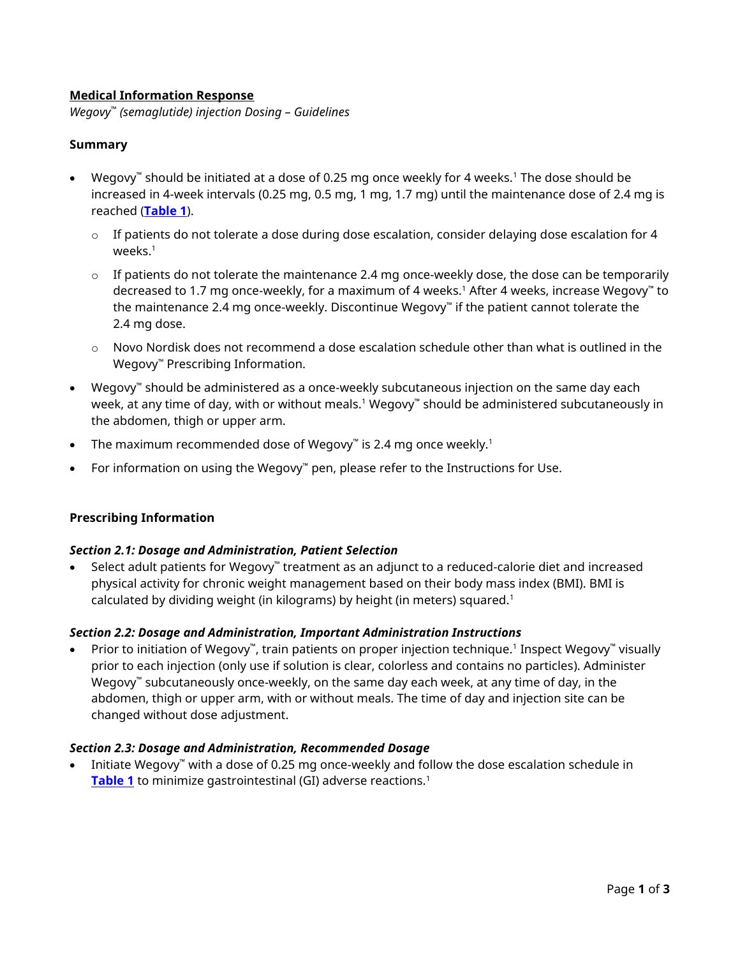### **Medical Information Response**

*Wegovy™ (semaglutide) injection Dosing – Guidelines*

### **Summary**

- Wegovy™ should be initiated at a dose of 0.25 mg once weekly for 4 weeks.<sup>1</sup> The dose should be increased in 4-week intervals (0.25 mg, 0.5 mg, 1 mg, 1.7 mg) until the maintenance dose of 2.4 mg is reached (**[Table 1](#page-1-0)**).
	- $\circ$  If patients do not tolerate a dose during dose escalation, consider delaying dose escalation for 4 weeks.<sup>1</sup>
	- $\circ$  If patients do not tolerate the maintenance 2.4 mg once-weekly dose, the dose can be temporarily decreased to 1.7 mg once-weekly, for a maximum of 4 weeks.' After 4 weeks, increase Wegovy™ to the maintenance 2.4 mg once-weekly. Discontinue Wegovy™ if the patient cannot tolerate the 2.4 mg dose.
	- $\circ$  Novo Nordisk does not recommend a dose escalation schedule other than what is outlined in the Wegovy™ Prescribing Information.
- Wegovy™ should be administered as a once-weekly subcutaneous injection on the same day each week, at any time of day, with or without meals.<sup>1</sup> Wegovy<sup>™</sup> should be administered subcutaneously in the abdomen, thigh or upper arm.
- The maximum recommended dose of Wegovy™ is 2.4 mg once weekly.<sup>1</sup>
- For information on using the Wegovy™ pen, please refer to the Instructions for Use.

### **Prescribing Information**

### *Section 2.1: Dosage and Administration, Patient Selection*

• Select adult patients for Wegovy™ treatment as an adjunct to a reduced-calorie diet and increased physical activity for chronic weight management based on their body mass index (BMI). BMI is calculated by dividing weight (in kilograms) by height (in meters) squared.<sup>1</sup>

### *Section 2.2: Dosage and Administration, Important Administration Instructions*

• Prior to initiation of Wegovy™ , train patients on proper injection technique.<sup>1</sup> Inspect Wegovy™ visually prior to each injection (only use if solution is clear, colorless and contains no particles). Administer Wegovy™ subcutaneously once-weekly, on the same day each week, at any time of day, in the abdomen, thigh or upper arm, with or without meals. The time of day and injection site can be changed without dose adjustment.

### *Section 2.3: Dosage and Administration, Recommended Dosage*

• Initiate Wegovy™ with a dose of 0.25 mg once-weekly and follow the dose escalation schedule in **[Table 1](#page-1-0)** to minimize gastrointestinal (GI) adverse reactions.<sup>1</sup>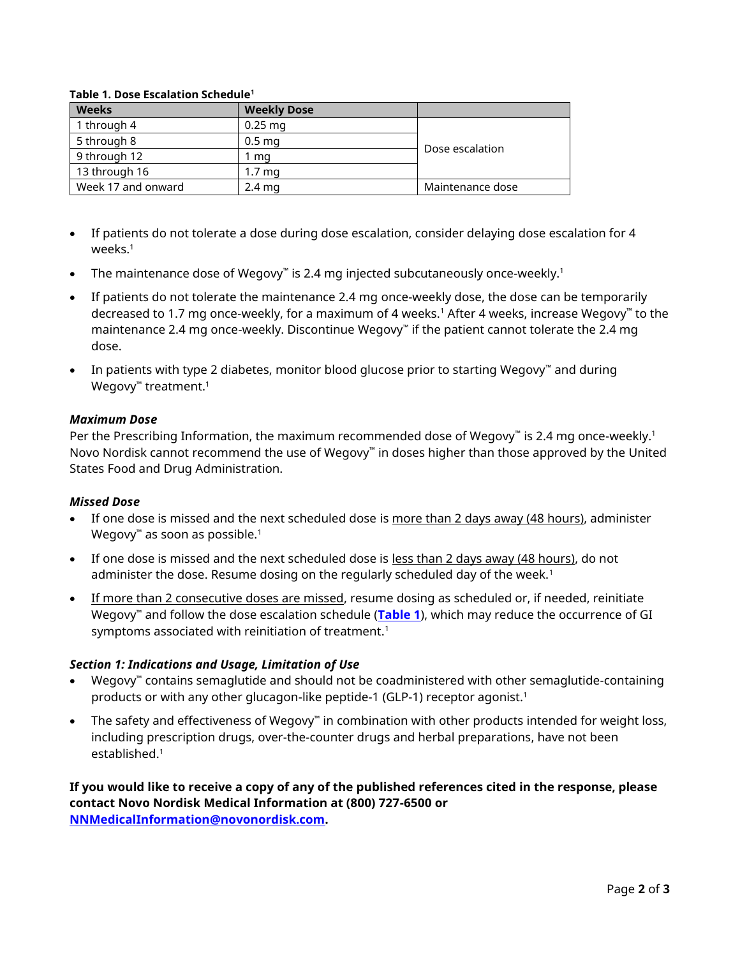| <b>Weeks</b>       | <b>Weekly Dose</b> |                  |
|--------------------|--------------------|------------------|
| 1 through 4        | $0.25$ mg          | Dose escalation  |
| 5 through 8        | 0.5 <sub>ma</sub>  |                  |
| 9 through 12       | ma                 |                  |
| 13 through 16      | 1.7 <sub>mq</sub>  |                  |
| Week 17 and onward | $2.4 \text{ ma}$   | Maintenance dose |

#### <span id="page-1-0"></span>**Table 1. Dose Escalation Schedule<sup>1</sup>**

- If patients do not tolerate a dose during dose escalation, consider delaying dose escalation for 4 weeks.<sup>1</sup>
- The maintenance dose of Wegovy™ is 2.4 mg injected subcutaneously once-weekly.<sup>1</sup>
- If patients do not tolerate the maintenance 2.4 mg once-weekly dose, the dose can be temporarily decreased to 1.7 mg once-weekly, for a maximum of 4 weeks.<sup>1</sup> After 4 weeks, increase Wegovy™ to the maintenance 2.4 mg once-weekly. Discontinue Wegovy™ if the patient cannot tolerate the 2.4 mg dose.
- In patients with type 2 diabetes, monitor blood glucose prior to starting Wegovy™ and during Wegovy™ treatment. $^1$

# *Maximum Dose*

Per the Prescribing Information, the maximum recommended dose of Wegovy™ is 2.4 mg once-weekly. $^1$ Novo Nordisk cannot recommend the use of Wegovy™ in doses higher than those approved by the United States Food and Drug Administration.

### *Missed Dose*

- If one dose is missed and the next scheduled dose is more than 2 days away (48 hours), administer Wegovy<sup>™</sup> as soon as possible.<sup>1</sup>
- If one dose is missed and the next scheduled dose is less than 2 days away (48 hours), do not administer the dose. Resume dosing on the regularly scheduled day of the week.<sup>1</sup>
- If more than 2 consecutive doses are missed, resume dosing as scheduled or, if needed, reinitiate Wegovy™ and follow the dose escalation schedule (**[Table 1](#page-1-0)**), which may reduce the occurrence of GI symptoms associated with reinitiation of treatment.<sup>1</sup>

# *Section 1: Indications and Usage, Limitation of Use*

- Wegovy™ contains semaglutide and should not be coadministered with other semaglutide-containing products or with any other glucagon-like peptide-1 (GLP-1) receptor agonist.<sup>1</sup>
- The safety and effectiveness of Wegovy™ in combination with other products intended for weight loss, including prescription drugs, over-the-counter drugs and herbal preparations, have not been established.<sup>1</sup>

# **If you would like to receive a copy of any of the published references cited in the response, please contact Novo Nordisk Medical Information at (800) 727-6500 or [NNMedicalInformation@novonordisk.com.](mailto:NNMedicalInformation@novonordisk.com)**